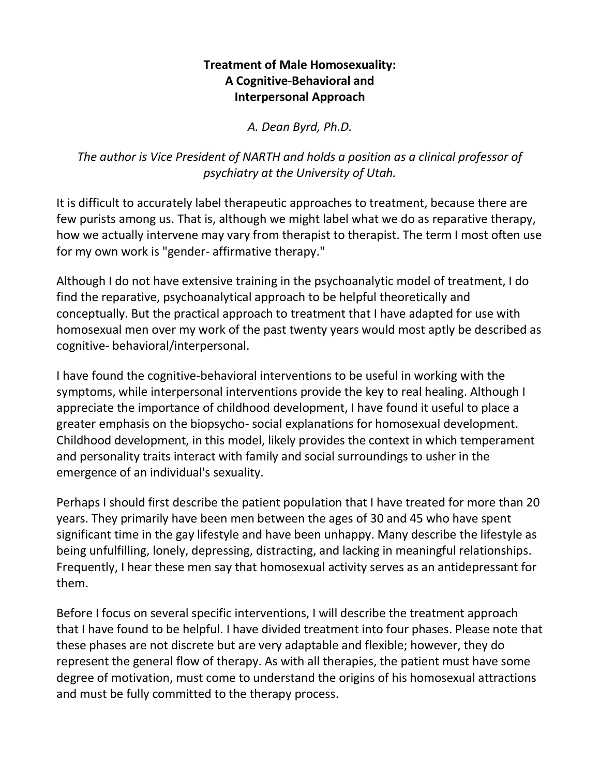#### **Treatment of Male Homosexuality: A Cognitive-Behavioral and Interpersonal Approach**

*A. Dean Byrd, Ph.D.*

# *The author is Vice President of NARTH and holds a position as a clinical professor of psychiatry at the University of Utah.*

It is difficult to accurately label therapeutic approaches to treatment, because there are few purists among us. That is, although we might label what we do as reparative therapy, how we actually intervene may vary from therapist to therapist. The term I most often use for my own work is "gender- affirmative therapy."

Although I do not have extensive training in the psychoanalytic model of treatment, I do find the reparative, psychoanalytical approach to be helpful theoretically and conceptually. But the practical approach to treatment that I have adapted for use with homosexual men over my work of the past twenty years would most aptly be described as cognitive- behavioral/interpersonal.

I have found the cognitive-behavioral interventions to be useful in working with the symptoms, while interpersonal interventions provide the key to real healing. Although I appreciate the importance of childhood development, I have found it useful to place a greater emphasis on the biopsycho- social explanations for homosexual development. Childhood development, in this model, likely provides the context in which temperament and personality traits interact with family and social surroundings to usher in the emergence of an individual's sexuality.

Perhaps I should first describe the patient population that I have treated for more than 20 years. They primarily have been men between the ages of 30 and 45 who have spent significant time in the gay lifestyle and have been unhappy. Many describe the lifestyle as being unfulfilling, lonely, depressing, distracting, and lacking in meaningful relationships. Frequently, I hear these men say that homosexual activity serves as an antidepressant for them.

Before I focus on several specific interventions, I will describe the treatment approach that I have found to be helpful. I have divided treatment into four phases. Please note that these phases are not discrete but are very adaptable and flexible; however, they do represent the general flow of therapy. As with all therapies, the patient must have some degree of motivation, must come to understand the origins of his homosexual attractions and must be fully committed to the therapy process.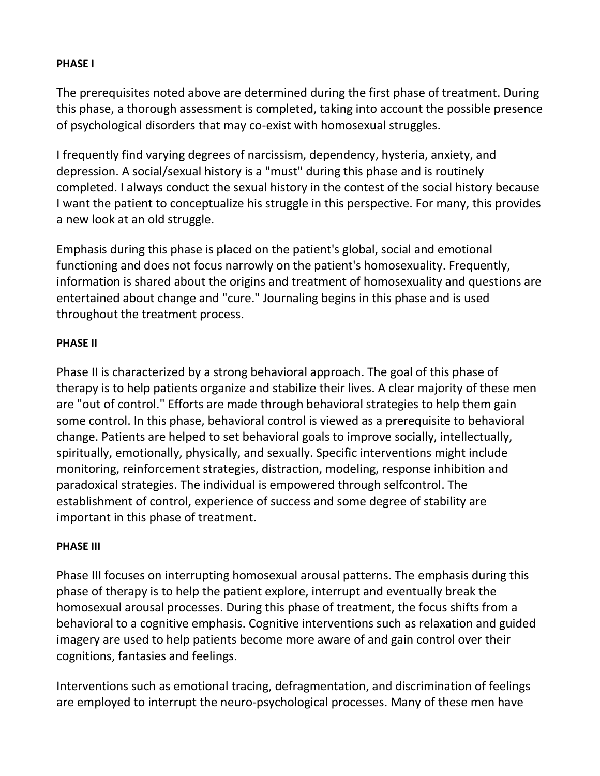#### **PHASE I**

The prerequisites noted above are determined during the first phase of treatment. During this phase, a thorough assessment is completed, taking into account the possible presence of psychological disorders that may co-exist with homosexual struggles.

I frequently find varying degrees of narcissism, dependency, hysteria, anxiety, and depression. A social/sexual history is a "must" during this phase and is routinely completed. I always conduct the sexual history in the contest of the social history because I want the patient to conceptualize his struggle in this perspective. For many, this provides a new look at an old struggle.

Emphasis during this phase is placed on the patient's global, social and emotional functioning and does not focus narrowly on the patient's homosexuality. Frequently, information is shared about the origins and treatment of homosexuality and questions are entertained about change and "cure." Journaling begins in this phase and is used throughout the treatment process.

#### **PHASE II**

Phase II is characterized by a strong behavioral approach. The goal of this phase of therapy is to help patients organize and stabilize their lives. A clear majority of these men are "out of control." Efforts are made through behavioral strategies to help them gain some control. In this phase, behavioral control is viewed as a prerequisite to behavioral change. Patients are helped to set behavioral goals to improve socially, intellectually, spiritually, emotionally, physically, and sexually. Specific interventions might include monitoring, reinforcement strategies, distraction, modeling, response inhibition and paradoxical strategies. The individual is empowered through selfcontrol. The establishment of control, experience of success and some degree of stability are important in this phase of treatment.

#### **PHASE III**

Phase III focuses on interrupting homosexual arousal patterns. The emphasis during this phase of therapy is to help the patient explore, interrupt and eventually break the homosexual arousal processes. During this phase of treatment, the focus shifts from a behavioral to a cognitive emphasis. Cognitive interventions such as relaxation and guided imagery are used to help patients become more aware of and gain control over their cognitions, fantasies and feelings.

Interventions such as emotional tracing, defragmentation, and discrimination of feelings are employed to interrupt the neuro-psychological processes. Many of these men have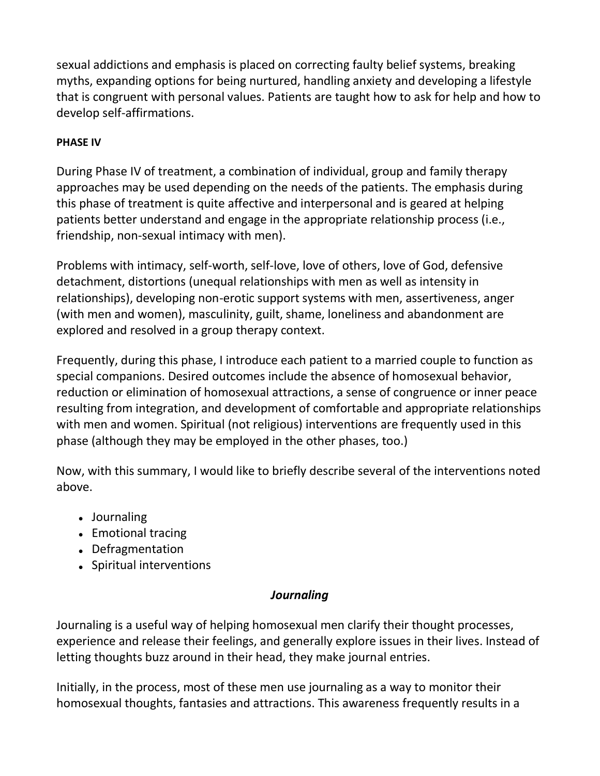sexual addictions and emphasis is placed on correcting faulty belief systems, breaking myths, expanding options for being nurtured, handling anxiety and developing a lifestyle that is congruent with personal values. Patients are taught how to ask for help and how to develop self-affirmations.

### **PHASE IV**

During Phase IV of treatment, a combination of individual, group and family therapy approaches may be used depending on the needs of the patients. The emphasis during this phase of treatment is quite affective and interpersonal and is geared at helping patients better understand and engage in the appropriate relationship process (i.e., friendship, non-sexual intimacy with men).

Problems with intimacy, self-worth, self-love, love of others, love of God, defensive detachment, distortions (unequal relationships with men as well as intensity in relationships), developing non-erotic support systems with men, assertiveness, anger (with men and women), masculinity, guilt, shame, loneliness and abandonment are explored and resolved in a group therapy context.

Frequently, during this phase, I introduce each patient to a married couple to function as special companions. Desired outcomes include the absence of homosexual behavior, reduction or elimination of homosexual attractions, a sense of congruence or inner peace resulting from integration, and development of comfortable and appropriate relationships with men and women. Spiritual (not religious) interventions are frequently used in this phase (although they may be employed in the other phases, too.)

Now, with this summary, I would like to briefly describe several of the interventions noted above.

- Journaling
- Emotional tracing
- Defragmentation
- Spiritual interventions

#### *Journaling*

Journaling is a useful way of helping homosexual men clarify their thought processes, experience and release their feelings, and generally explore issues in their lives. Instead of letting thoughts buzz around in their head, they make journal entries.

Initially, in the process, most of these men use journaling as a way to monitor their homosexual thoughts, fantasies and attractions. This awareness frequently results in a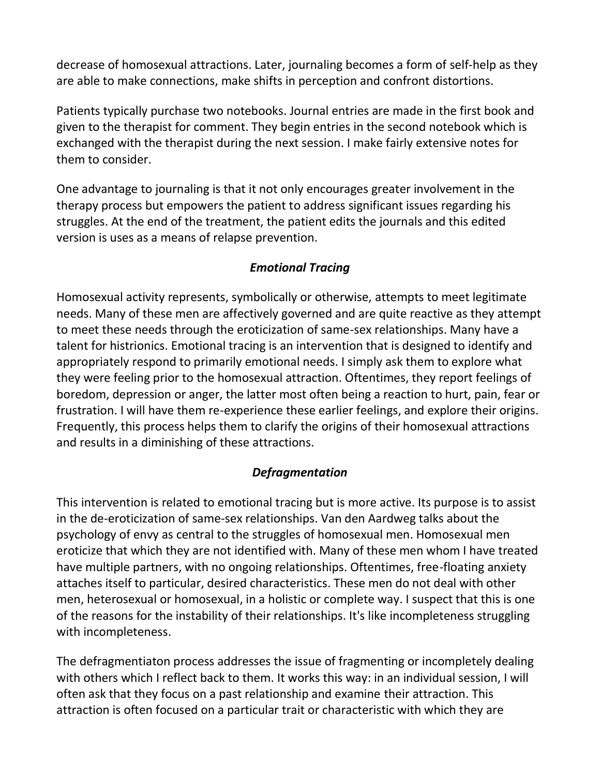decrease of homosexual attractions. Later, journaling becomes a form of self-help as they are able to make connections, make shifts in perception and confront distortions.

Patients typically purchase two notebooks. Journal entries are made in the first book and given to the therapist for comment. They begin entries in the second notebook which is exchanged with the therapist during the next session. I make fairly extensive notes for them to consider.

One advantage to journaling is that it not only encourages greater involvement in the therapy process but empowers the patient to address significant issues regarding his struggles. At the end of the treatment, the patient edits the journals and this edited version is uses as a means of relapse prevention.

## *Emotional Tracing*

Homosexual activity represents, symbolically or otherwise, attempts to meet legitimate needs. Many of these men are affectively governed and are quite reactive as they attempt to meet these needs through the eroticization of same-sex relationships. Many have a talent for histrionics. Emotional tracing is an intervention that is designed to identify and appropriately respond to primarily emotional needs. I simply ask them to explore what they were feeling prior to the homosexual attraction. Oftentimes, they report feelings of boredom, depression or anger, the latter most often being a reaction to hurt, pain, fear or frustration. I will have them re-experience these earlier feelings, and explore their origins. Frequently, this process helps them to clarify the origins of their homosexual attractions and results in a diminishing of these attractions.

#### *Defragmentation*

This intervention is related to emotional tracing but is more active. Its purpose is to assist in the de-eroticization of same-sex relationships. Van den Aardweg talks about the psychology of envy as central to the struggles of homosexual men. Homosexual men eroticize that which they are not identified with. Many of these men whom I have treated have multiple partners, with no ongoing relationships. Oftentimes, free-floating anxiety attaches itself to particular, desired characteristics. These men do not deal with other men, heterosexual or homosexual, in a holistic or complete way. I suspect that this is one of the reasons for the instability of their relationships. It's like incompleteness struggling with incompleteness.

The defragmentiaton process addresses the issue of fragmenting or incompletely dealing with others which I reflect back to them. It works this way: in an individual session, I will often ask that they focus on a past relationship and examine their attraction. This attraction is often focused on a particular trait or characteristic with which they are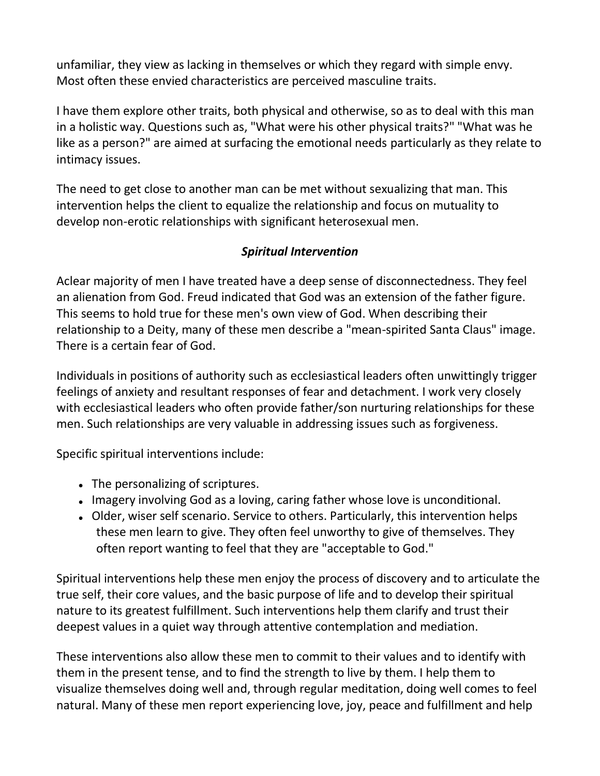unfamiliar, they view as lacking in themselves or which they regard with simple envy. Most often these envied characteristics are perceived masculine traits.

I have them explore other traits, both physical and otherwise, so as to deal with this man in a holistic way. Questions such as, "What were his other physical traits?" "What was he like as a person?" are aimed at surfacing the emotional needs particularly as they relate to intimacy issues.

The need to get close to another man can be met without sexualizing that man. This intervention helps the client to equalize the relationship and focus on mutuality to develop non-erotic relationships with significant heterosexual men.

## *Spiritual Intervention*

Aclear majority of men I have treated have a deep sense of disconnectedness. They feel an alienation from God. Freud indicated that God was an extension of the father figure. This seems to hold true for these men's own view of God. When describing their relationship to a Deity, many of these men describe a "mean-spirited Santa Claus" image. There is a certain fear of God.

Individuals in positions of authority such as ecclesiastical leaders often unwittingly trigger feelings of anxiety and resultant responses of fear and detachment. I work very closely with ecclesiastical leaders who often provide father/son nurturing relationships for these men. Such relationships are very valuable in addressing issues such as forgiveness.

Specific spiritual interventions include:

- The personalizing of scriptures.
- Imagery involving God as a loving, caring father whose love is unconditional.
- Older, wiser self scenario. Service to others. Particularly, this intervention helps these men learn to give. They often feel unworthy to give of themselves. They often report wanting to feel that they are "acceptable to God."

Spiritual interventions help these men enjoy the process of discovery and to articulate the true self, their core values, and the basic purpose of life and to develop their spiritual nature to its greatest fulfillment. Such interventions help them clarify and trust their deepest values in a quiet way through attentive contemplation and mediation.

These interventions also allow these men to commit to their values and to identify with them in the present tense, and to find the strength to live by them. I help them to visualize themselves doing well and, through regular meditation, doing well comes to feel natural. Many of these men report experiencing love, joy, peace and fulfillment and help